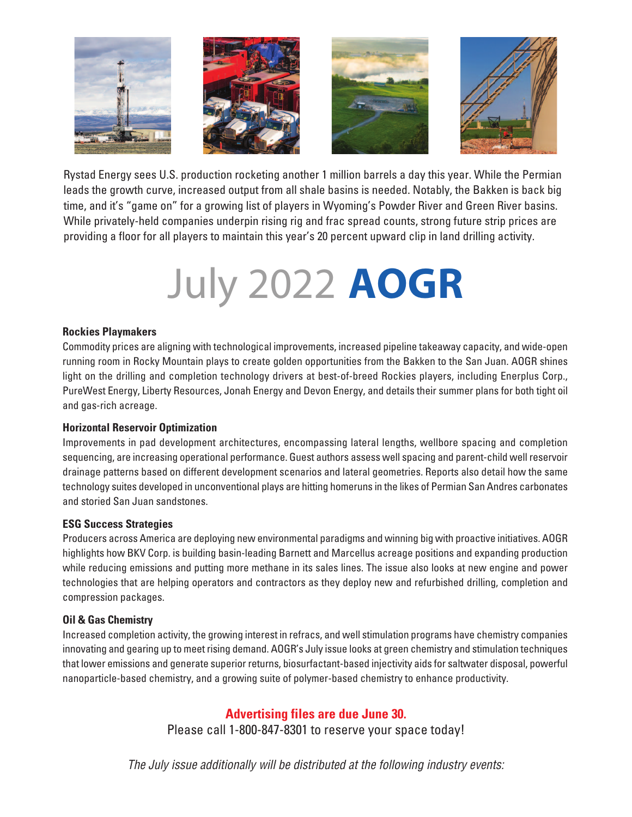

Rystad Energy sees U.S. production rocketing another 1 million barrels a day this year. While the Permian leads the growth curve, increased output from all shale basins is needed. Notably, the Bakken is back big time, and it's "game on" for a growing list of players in Wyoming's Powder River and Green River basins. While privately-held companies underpin rising rig and frac spread counts, strong future strip prices are providing a floor for all players to maintain this year's 20 percent upward clip in land drilling activity.

# July 2022 **AOGR**

#### **Rockies Playmakers**

Commodity prices are aligning with technological improvements, increased pipeline takeaway capacity, and wide-open running room in Rocky Mountain plays to create golden opportunities from the Bakken to the San Juan. AOGR shines light on the drilling and completion technology drivers at best-of-breed Rockies players, including Enerplus Corp., PureWest Energy, Liberty Resources, Jonah Energy and Devon Energy, and details their summer plans for both tight oil and gas-rich acreage.

#### **Horizontal Reservoir Optimization**

Improvements in pad development architectures, encompassing lateral lengths, wellbore spacing and completion sequencing, are increasing operational performance. Guest authors assess well spacing and parent-child well reservoir drainage patterns based on different development scenarios and lateral geometries. Reports also detail how the same technology suites developed in unconventional plays are hitting homeruns in the likes of Permian San Andres carbonates and storied San Juan sandstones.

#### **ESG Success Strategies**

Producers across America are deploying new environmental paradigms and winning big with proactive initiatives. AOGR highlights how BKV Corp. is building basin-leading Barnett and Marcellus acreage positions and expanding production while reducing emissions and putting more methane in its sales lines. The issue also looks at new engine and power technologies that are helping operators and contractors as they deploy new and refurbished drilling, completion and compression packages.

### **Oil & Gas Chemistry**

Increased completion activity, the growing interest in refracs, and well stimulation programs have chemistry companies innovating and gearing up to meet rising demand. AOGR's July issue looks at green chemistry and stimulation techniques that lower emissions and generate superior returns, biosurfactant-based injectivity aids for saltwater disposal, powerful nanoparticle-based chemistry, and a growing suite of polymer-based chemistry to enhance productivity.

## **Advertising files are due June 30.**

Please call 1-800-847-8301 to reserve your space today!

*The July issue additionally will be distributed at the following industry events:*